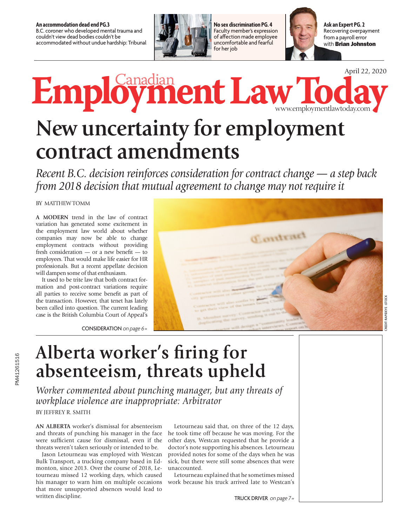**An accommodation dead end PG.3** B.C. coroner who developed mental trauma and couldn't view dead bodies couldn't be accommodated without undue hardship: Tribunal



**No sex discrimination PG. 4** Faculty member's expression of affection made employee uncomfortable and fearful for her job



with **Brian Johnston Ask an Expert PG. 2** Recovering overpayment from a payroll error

April 22, 2020

## **EmploymentLawToday** Canadian

www.employmentlawtoday.com

# **New uncertainty for employment contract amendments**

*Recent B.C. decision reinforces consideration for contract change — a step back from 2018 decision that mutual agreement to change may not require it*

#### BY MATTHEW TOMM

**A MODERN** trend in the law of contract variation has generated some excitement in the employment law world about whether companies may now be able to change employment contracts without providing fresh consideration — or a new benefit — to employees. That would make life easier for HR professionals. But a recent appellate decision will dampen some of that enthusiasm.

It used to be trite law that both contract formation and post-contract variations require all parties to receive some benefit as part of the transaction. However, that tenet has lately been called into question. The current leading case is the British Columbia Court of Appeal's

CONSIDERATION on page 6 »



### **Alberta worker's firing for absenteeism, threats upheld**

*Worker commented about punching manager, but any threats of workplace violence are inappropriate: Arbitrator*

BY JEFFREY R. SMITH

**AN ALBERTA** worker's dismissal for absenteeism and threats of punching his manager in the face were sufficient cause for dismissal, even if the threats weren't taken seriously or intended to be.

Jason Letourneau was employed with Westcan Bulk Transport, a trucking company based in Edmonton, since 2013. Over the course of 2018, Letourneau missed 12 working days, which caused his manager to warn him on multiple occasions that more unsupported absences would lead to written discipline.

Letourneau said that, on three of the 12 days, he took time off because he was moving. For the other days, Westcan requested that he provide a doctor's note supporting his absences. Letourneau provided notes for some of the days when he was sick, but there were still some absences that were unaccounted.

Letourneau explained that he sometimes missed work because his truck arrived late to Westcan's